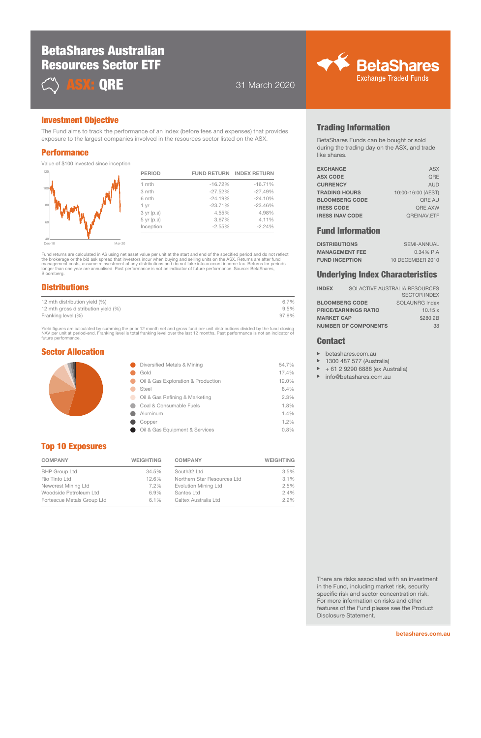# BetaShares Australian Resources Sector ETF



**ASX: ORE** 31 March 2020



### Investment Objective

The Fund aims to track the performance of an index (before fees and expenses) that provides exposure to the largest companies involved in the resources sector listed on the ASX.

#### **Performance**

Value of \$100 invested since inception

| <b>PERIOD</b>   | <b>FUND RETURN</b> | <b>INDEX RETURN</b> |
|-----------------|--------------------|---------------------|
| 1 mth           | $-16.72%$          | $-16.71%$           |
| 3 mth           | $-27.52%$          | $-27.49%$           |
| 6 mth           | $-24.19%$          | $-24.10%$           |
| 1 yr            | $-23.71%$          | $-23.46%$           |
| $3 \, yr$ (p.a) | 4.55%              | 4.98%               |
| $5$ yr $(p.a)$  | 3.67%              | 4.11%               |
| Inception       | $-2.55%$           | $-2.24%$            |
|                 |                    |                     |

Dec-10

 $60$ 

80

100

120

Fund returns are calculated in A\$ using net asset value per unit at the start and end of the specified period and do not reflect<br>the brokerage or the bid ask spread that investors incur when buying and selling units on the longer than one year are annualised. Past performance is not an indicator of future performance. Source: BetaShares, Bloomberg.

 $\overline{Mar-20}$ 

## **Distributions**

| 12 mth distribution yield (%)       | 6.7%  |
|-------------------------------------|-------|
| 12 mth gross distribution yield (%) | 9.5%  |
| Franking level (%)                  | 97.9% |

Yield figures are calculated by summing the prior 12 month net and gross fund per unit distributions divided by the fund closing<br>NAV per unit at period-end. Franking level is total franking level over the last 12 months. P future performance.

### Sector Allocation

| Diversified Metals & Mining        | 54.7% |
|------------------------------------|-------|
| Gold                               | 17.4% |
| Oil & Gas Exploration & Production | 12.0% |
| Steel                              | 8.4%  |
| Oil & Gas Refining & Marketing     | 2.3%  |
| Coal & Consumable Fuels            | 1.8%  |
| Aluminum                           | 1.4%  |
| Copper                             | 1.2%  |
| Oil & Gas Equipment & Services     | 0.8%  |
|                                    |       |

## Top 10 Exposures

| <b>COMPANY</b>             | <b>WEIGHTING</b> |  |
|----------------------------|------------------|--|
| <b>BHP Group Ltd</b>       | 34.5%            |  |
| Rio Tinto Ltd              | 12.6%            |  |
| Newcrest Mining Ltd        | 7.2%             |  |
| Woodside Petroleum Ltd     | 6.9%             |  |
| Fortescue Metals Group Ltd | 6.1%             |  |

| <b>COMPANY</b>              | <b>WEIGHTING</b> |
|-----------------------------|------------------|
| South32 Ltd                 | 3.5%             |
| Northern Star Resources Ltd | 3.1%             |
| Evolution Mining Ltd        | 2.5%             |
| Santos Ltd                  | 2.4%             |
| Caltex Australia Ltd        | 2.2%             |

# Trading Information

BetaShares Funds can be bought or sold during the trading day on the ASX, and trade like shares.

| <b>EXCHANGE</b>        | <b>ASX</b>         |
|------------------------|--------------------|
| <b>ASX CODE</b>        | ORE                |
| <b>CURRENCY</b>        | <b>AUD</b>         |
| <b>TRADING HOURS</b>   | 10:00-16:00 (AEST) |
| <b>BLOOMBERG CODE</b>  | <b>ORE AU</b>      |
| <b>IRESS CODE</b>      | QRE.AXW            |
| <b>IRESS INAV CODE</b> | <b>QREINAV.ETF</b> |
|                        |                    |

## Fund Information

| <b>DISTRIBUTIONS</b>  | SEMI-ANNUAL      |
|-----------------------|------------------|
| <b>MANAGEMENT FEE</b> | $0.34\%$ P.A     |
| <b>FUND INCEPTION</b> | 10 DECEMBER 2010 |

#### Underlying Index Characteristics

| <b>INDEX</b>          | SOLACTIVE AUSTRALIA RESOURCES |                     |
|-----------------------|-------------------------------|---------------------|
|                       |                               | <b>SECTOR INDEX</b> |
| <b>BLOOMBERG CODE</b> |                               | SOLAUNRG Index      |
|                       | <b>PRICE/EARNINGS RATIO</b>   | 10.15x              |
| <b>MARKET CAP</b>     |                               | \$280.2B            |
|                       | <b>NUMBER OF COMPONENTS</b>   | 38                  |

#### **Contact**

- betashares.com.au  $\mathbf{p}$
- 1300 487 577 (Australia) b
- $\triangleright$ + 61 2 9290 6888 (ex Australia)
- $\mathbf{r}$ info@betashares.com.au

There are risks associated with an investment in the Fund, including market risk, security specific risk and sector concentration risk. For more information on risks and other features of the Fund please see the Product Disclosure Statement.